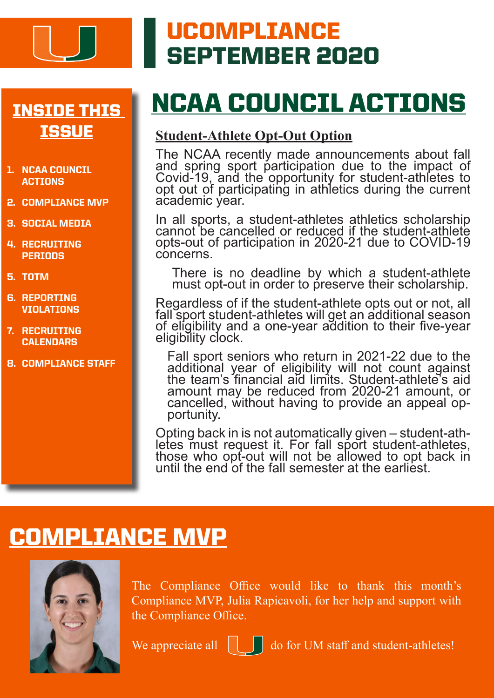

## UCOMPLIANCE SEPTEMBER 2020

### INSIDE THIS **ISSUE**

- 1. NCAA COUNCIL ACTIONS
- 2. COMPLIANCE MVP
- 3. SOCIAL MEDIA
- 4. RECRUITING **PERIODS**
- 5. TOTM
- 6. REPORTING **VIOLATIONS**
- 7. RECRUITING **CALENDARS**
- 8. COMPLIANCE STAFF

# NCAA COUNCIL ACTIONS

### **Student-Athlete Opt-Out Option**

The NCAA recently made announcements about fall and spring sport participation due to the impact of Covid-19, and the opportunity for student-athletes to opt out of participating in athletics during the current academic year.

In all sports, a student-athletes athletics scholarship cannot be cancelled or reduced if the student-athlete opts-out of participation in 2020-21 due to COVID-19 concerns.

There is no deadline by which a student-athlete must opt-out in order to preserve their scholarship.

Regardless of if the student-athlete opts out or not, all fall sport student-athletes will get an additional season of eligibility and a one-year addition to their five-year eligibility clock.

Fall sport seniors who return in 2021-22 due to the additional year of eligibility will not count against the team's financial aid limits. Student-athlete's aid amount may be reduced from 2020-21 amount, or cancelled, without having to provide an appeal op- portunity.

Opting back in is not automatically given – student-ath-<br>letes must request it. For fall sport student-athletes, those who opt-out will not be allowed to opt back in until the end of the fall semester at the earliest.

## COMPLIANCE MVP



The Compliance Office would like to thank this month's Compliance MVP, Julia Rapicavoli, for her help and support with the Compliance Office.

We appreciate all  $\|\cdot\|$  do for UM staff and student-athletes!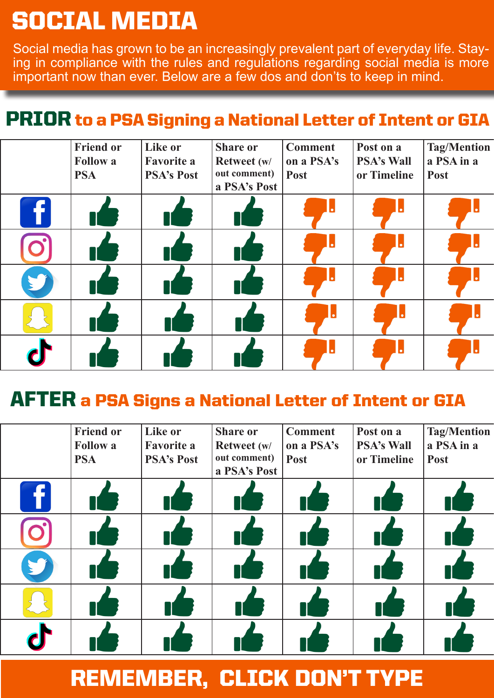# SOCIAL MEDIA

Social media has grown to be an increasingly prevalent part of everyday life. Staying in compliance with the rules and regulations regarding social media is more important now than ever. Below are a few dos and don'ts to keep in mind.

### PRIOR to a PSA Signing a National Letter of Intent or GIA

|   | <b>Friend or</b> | Like or           | <b>Share or</b> | <b>Comment</b> | Post on a         | <b>Tag/Mention</b> |
|---|------------------|-------------------|-----------------|----------------|-------------------|--------------------|
|   | <b>Follow a</b>  | <b>Favorite a</b> | Retweet (w/     | on a PSA's     | <b>PSA's Wall</b> | a PSA in a         |
|   | <b>PSA</b>       | <b>PSA's Post</b> | out comment)    | Post           | or Timeline       | Post               |
|   |                  |                   | a PSA's Post    |                |                   |                    |
| T |                  |                   |                 |                |                   |                    |
|   |                  |                   |                 | o              |                   |                    |
|   |                  |                   |                 |                |                   |                    |
|   |                  |                   |                 |                |                   |                    |
|   |                  |                   |                 | $\bullet$      | l ol              |                    |

### AFTER a PSA Signs a National Letter of Intent or GIA

|    | <b>Friend or</b> | Like or           | <b>Share or</b> | <b>Comment</b> | Post on a         | <b>Tag/Mention</b> |
|----|------------------|-------------------|-----------------|----------------|-------------------|--------------------|
|    | <b>Follow a</b>  | <b>Favorite a</b> | Retweet (w/     | on a PSA's     | <b>PSA's Wall</b> | a PSA in a         |
|    | <b>PSA</b>       | <b>PSA's Post</b> | out comment)    | Post           | or Timeline       | Post               |
|    |                  |                   | a PSA's Post    |                |                   |                    |
| 77 |                  |                   |                 |                |                   |                    |
|    |                  |                   |                 |                |                   |                    |
|    |                  |                   |                 |                |                   |                    |
|    |                  |                   |                 |                |                   |                    |
|    |                  |                   |                 |                |                   |                    |

## REMEMBER, CLICK DON'T TYPE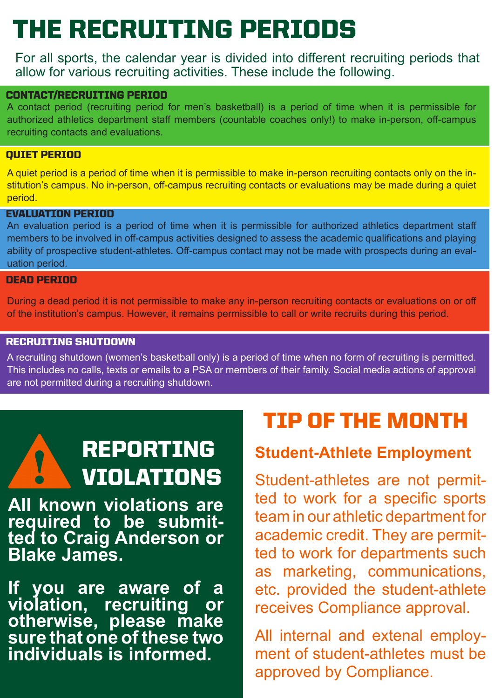# THE RECRUITING PERIODS

For all sports, the calendar year is divided into different recruiting periods that allow for various recruiting activities. These include the following.

#### CONTACT/RECRUITING PERIOD

A contact period (recruiting period for men's basketball) is a period of time when it is permissible for authorized athletics department staff members (countable coaches only!) to make in-person, off-campus recruiting contacts and evaluations.

#### QUIET PERIOD

A quiet period is a period of time when it is permissible to make in-person recruiting contacts only on the institution's campus. No in-person, off-campus recruiting contacts or evaluations may be made during a quiet period.

#### EVALUATION PERIOD

An evaluation period is a period of time when it is permissible for authorized athletics department staff members to be involved in off-campus activities designed to assess the academic qualifications and playing ability of prospective student-athletes. Off-campus contact may not be made with prospects during an evaluation period.

#### DEAD PERIOD

During a dead period it is not permissible to make any in-person recruiting contacts or evaluations on or off of the institution's campus. However, it remains permissible to call or write recruits during this period.

#### RECRUITING SHUTDOWN

A recruiting shutdown (women's basketball only) is a period of time when no form of recruiting is permitted. This includes no calls, texts or emails to a PSA or members of their family. Social media actions of approval are not permitted during a recruiting shutdown.



**All known violations are required to be submit- ted to Craig Anderson or Blake James.** 

**If you are aware of a violation, recruiting or otherwise, please make sure that one of these two individuals is informed.** 

### TIP OF THE MONTH

### **Student-Athlete Employment**

Student-athletes are not permitted to work for a specific sports team in our athletic department for academic credit. They are permitted to work for departments such as marketing, communications, etc. provided the student-athlete receives Compliance approval.

All internal and extenal employment of student-athletes must be approved by Compliance.